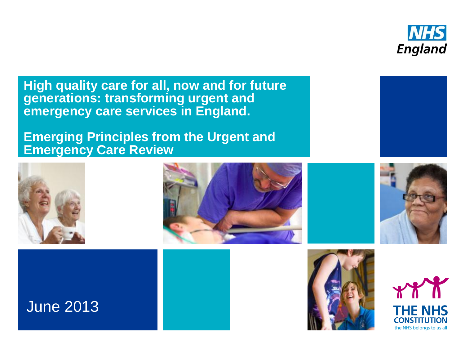

**High quality care for all, now and for future generations: transforming urgent and emergency care services in England.**

**Emerging Principles from the Urgent and Emergency Care Review**













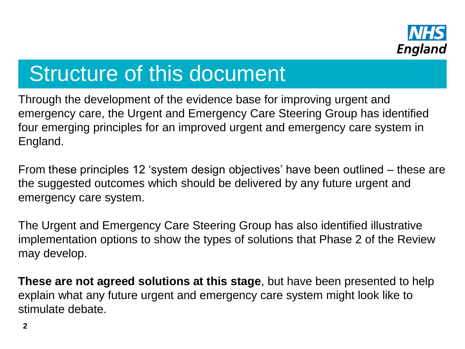

# Structure of this document

Through the development of the evidence base for improving urgent and emergency care, the Urgent and Emergency Care Steering Group has identified four emerging principles for an improved urgent and emergency care system in England.

From these principles 12 'system design objectives' have been outlined – these are the suggested outcomes which should be delivered by any future urgent and emergency care system.

The Urgent and Emergency Care Steering Group has also identified illustrative implementation options to show the types of solutions that Phase 2 of the Review may develop.

**These are not agreed solutions at this stage**, but have been presented to help explain what any future urgent and emergency care system might look like to stimulate debate.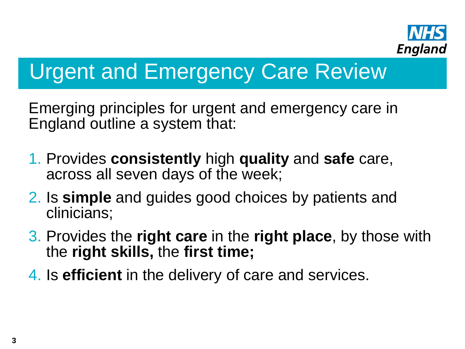

# Urgent and Emergency Care Review

Emerging principles for urgent and emergency care in England outline a system that:

- 1. Provides **consistently** high **quality** and **safe** care, across all seven days of the week;
- 2. Is **simple** and guides good choices by patients and clinicians;
- 3. Provides the **right care** in the **right place**, by those with the **right skills,** the **first time;**
- 4. Is **efficient** in the delivery of care and services.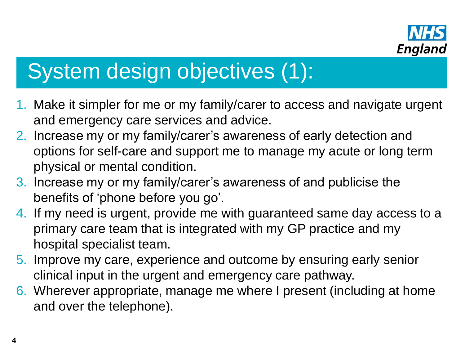

# System design objectives (1):

- 1. Make it simpler for me or my family/carer to access and navigate urgent and emergency care services and advice.
- 2. Increase my or my family/carer's awareness of early detection and options for self-care and support me to manage my acute or long term physical or mental condition.
- 3. Increase my or my family/carer's awareness of and publicise the benefits of 'phone before you go'.
- 4. If my need is urgent, provide me with guaranteed same day access to a primary care team that is integrated with my GP practice and my hospital specialist team.
- 5. Improve my care, experience and outcome by ensuring early senior clinical input in the urgent and emergency care pathway.
- 6. Wherever appropriate, manage me where I present (including at home and over the telephone).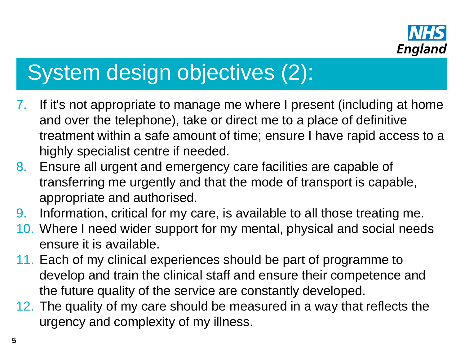

# System design objectives (2):

- 7. If it's not appropriate to manage me where I present (including at home and over the telephone), take or direct me to a place of definitive treatment within a safe amount of time; ensure I have rapid access to a highly specialist centre if needed.
- 8. Ensure all urgent and emergency care facilities are capable of transferring me urgently and that the mode of transport is capable, appropriate and authorised.
- 9. Information, critical for my care, is available to all those treating me.
- 10. Where I need wider support for my mental, physical and social needs ensure it is available.
- 11. Each of my clinical experiences should be part of programme to develop and train the clinical staff and ensure their competence and the future quality of the service are constantly developed.
- 12. The quality of my care should be measured in a way that reflects the urgency and complexity of my illness.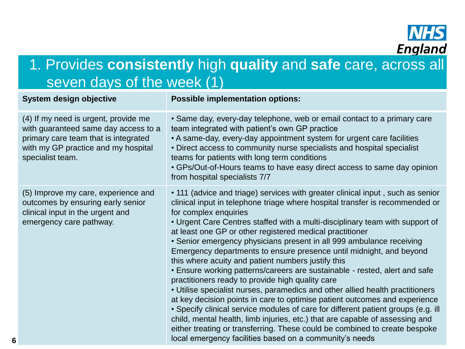

### 1. Provides **consistently** high **quality** and **safe** care, across all seven days of the week (1)

| System design objective                                                                                                                                                         | <b>Possible implementation options:</b>                                                                                                                                                                                                                                                                                                                                                                                                                                                                                                                                                                                                                                                                                                                                                                                                                                                                                                                                                                                                                                                                                                                 |
|---------------------------------------------------------------------------------------------------------------------------------------------------------------------------------|---------------------------------------------------------------------------------------------------------------------------------------------------------------------------------------------------------------------------------------------------------------------------------------------------------------------------------------------------------------------------------------------------------------------------------------------------------------------------------------------------------------------------------------------------------------------------------------------------------------------------------------------------------------------------------------------------------------------------------------------------------------------------------------------------------------------------------------------------------------------------------------------------------------------------------------------------------------------------------------------------------------------------------------------------------------------------------------------------------------------------------------------------------|
| (4) If my need is urgent, provide me<br>with guaranteed same day access to a<br>primary care team that is integrated<br>with my GP practice and my hospital<br>specialist team. | • Same day, every-day telephone, web or email contact to a primary care<br>team integrated with patient's own GP practice<br>• A same-day, every-day appointment system for urgent care facilities<br>• Direct access to community nurse specialists and hospital specialist<br>teams for patients with long term conditions<br>• GPs/Out-of-Hours teams to have easy direct access to same day opinion<br>from hospital specialists 7/7                                                                                                                                                                                                                                                                                                                                                                                                                                                                                                                                                                                                                                                                                                                |
| (5) Improve my care, experience and<br>outcomes by ensuring early senior<br>clinical input in the urgent and<br>emergency care pathway.                                         | • 111 (advice and triage) services with greater clinical input, such as senior<br>clinical input in telephone triage where hospital transfer is recommended or<br>for complex enquiries<br>• Urgent Care Centres staffed with a multi-disciplinary team with support of<br>at least one GP or other registered medical practitioner<br>• Senior emergency physicians present in all 999 ambulance receiving<br>Emergency departments to ensure presence until midnight, and beyond<br>this where acuity and patient numbers justify this<br>• Ensure working patterns/careers are sustainable - rested, alert and safe<br>practitioners ready to provide high quality care<br>• Utilise specialist nurses, paramedics and other allied health practitioners<br>at key decision points in care to optimise patient outcomes and experience<br>• Specify clinical service modules of care for different patient groups (e.g. ill<br>child, mental health, limb injuries, etc.) that are capable of assessing and<br>either treating or transferring. These could be combined to create bespoke<br>local emergency facilities based on a community's needs |

**6**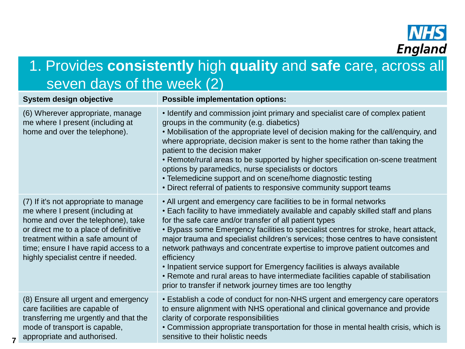

## 1. Provides **consistently** high **quality** and **safe** care, across all seven days of the week (2)

| System design objective                                                                                                                                                                                                                                                       | <b>Possible implementation options:</b>                                                                                                                                                                                                                                                                                                                                                                                                                                                                                                                                                                                                                                                                                  |
|-------------------------------------------------------------------------------------------------------------------------------------------------------------------------------------------------------------------------------------------------------------------------------|--------------------------------------------------------------------------------------------------------------------------------------------------------------------------------------------------------------------------------------------------------------------------------------------------------------------------------------------------------------------------------------------------------------------------------------------------------------------------------------------------------------------------------------------------------------------------------------------------------------------------------------------------------------------------------------------------------------------------|
| (6) Wherever appropriate, manage<br>me where I present (including at<br>home and over the telephone).                                                                                                                                                                         | • Identify and commission joint primary and specialist care of complex patient<br>groups in the community (e.g. diabetics)<br>• Mobilisation of the appropriate level of decision making for the call/enquiry, and<br>where appropriate, decision maker is sent to the home rather than taking the<br>patient to the decision maker<br>• Remote/rural areas to be supported by higher specification on-scene treatment<br>options by paramedics, nurse specialists or doctors<br>• Telemedicine support and on scene/home diagnostic testing<br>• Direct referral of patients to responsive community support teams                                                                                                      |
| (7) If it's not appropriate to manage<br>me where I present (including at<br>home and over the telephone), take<br>or direct me to a place of definitive<br>treatment within a safe amount of<br>time; ensure I have rapid access to a<br>highly specialist centre if needed. | . All urgent and emergency care facilities to be in formal networks<br>• Each facility to have immediately available and capably skilled staff and plans<br>for the safe care and/or transfer of all patient types<br>• Bypass some Emergency facilities to specialist centres for stroke, heart attack,<br>major trauma and specialist children's services; those centres to have consistent<br>network pathways and concentrate expertise to improve patient outcomes and<br>efficiency<br>• Inpatient service support for Emergency facilities is always available<br>• Remote and rural areas to have intermediate facilities capable of stabilisation<br>prior to transfer if network journey times are too lengthy |
| (8) Ensure all urgent and emergency<br>care facilities are capable of<br>transferring me urgently and that the<br>mode of transport is capable,<br>appropriate and authorised.                                                                                                | • Establish a code of conduct for non-NHS urgent and emergency care operators<br>to ensure alignment with NHS operational and clinical governance and provide<br>clarity of corporate responsibilities<br>• Commission appropriate transportation for those in mental health crisis, which is<br>sensitive to their holistic needs                                                                                                                                                                                                                                                                                                                                                                                       |

**7**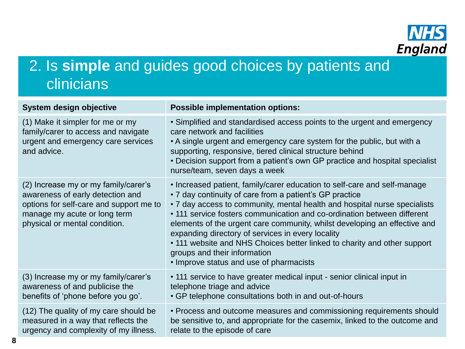

## 2. Is **simple** and guides good choices by patients and clinicians

| System design objective                                                                                                                                                              | <b>Possible implementation options:</b>                                                                                                                                                                                                                                                                                                                                                                                                                                                                                                                                              |
|--------------------------------------------------------------------------------------------------------------------------------------------------------------------------------------|--------------------------------------------------------------------------------------------------------------------------------------------------------------------------------------------------------------------------------------------------------------------------------------------------------------------------------------------------------------------------------------------------------------------------------------------------------------------------------------------------------------------------------------------------------------------------------------|
| (1) Make it simpler for me or my<br>family/carer to access and navigate<br>urgent and emergency care services<br>and advice.                                                         | • Simplified and standardised access points to the urgent and emergency<br>care network and facilities<br>• A single urgent and emergency care system for the public, but with a<br>supporting, responsive, tiered clinical structure behind<br>• Decision support from a patient's own GP practice and hospital specialist<br>nurse/team, seven days a week                                                                                                                                                                                                                         |
| (2) Increase my or my family/carer's<br>awareness of early detection and<br>options for self-care and support me to<br>manage my acute or long term<br>physical or mental condition. | • Increased patient, family/carer education to self-care and self-manage<br>• 7 day continuity of care from a patient's GP practice<br>• 7 day access to community, mental health and hospital nurse specialists<br>• 111 service fosters communication and co-ordination between different<br>elements of the urgent care community, whilst developing an effective and<br>expanding directory of services in every locality<br>• 111 website and NHS Choices better linked to charity and other support<br>groups and their information<br>• Improve status and use of pharmacists |
| (3) Increase my or my family/carer's<br>awareness of and publicise the<br>benefits of 'phone before you go'.                                                                         | • 111 service to have greater medical input - senior clinical input in<br>telephone triage and advice<br>• GP telephone consultations both in and out-of-hours                                                                                                                                                                                                                                                                                                                                                                                                                       |
| (12) The quality of my care should be<br>measured in a way that reflects the<br>urgency and complexity of my illness.                                                                | • Process and outcome measures and commissioning requirements should<br>be sensitive to, and appropriate for the casemix, linked to the outcome and<br>relate to the episode of care                                                                                                                                                                                                                                                                                                                                                                                                 |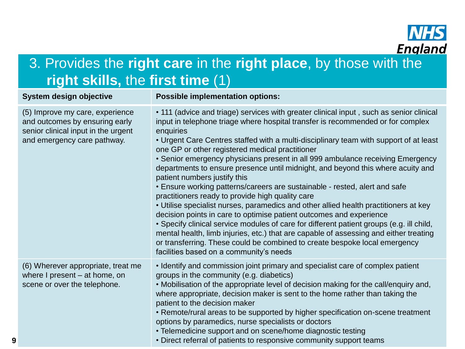

## 3. Provides the **right care** in the **right place**, by those with the **right skills,** the **first time** (1)

#### **System design objective Possible implementation options:** (5) Improve my care, experience and outcomes by ensuring early senior clinical input in the urgent and emergency care pathway. • 111 (advice and triage) services with greater clinical input , such as senior clinical input in telephone triage where hospital transfer is recommended or for complex enquiries • Urgent Care Centres staffed with a multi-disciplinary team with support of at least one GP or other registered medical practitioner • Senior emergency physicians present in all 999 ambulance receiving Emergency departments to ensure presence until midnight, and beyond this where acuity and patient numbers justify this • Ensure working patterns/careers are sustainable - rested, alert and safe practitioners ready to provide high quality care • Utilise specialist nurses, paramedics and other allied health practitioners at key decision points in care to optimise patient outcomes and experience • Specify clinical service modules of care for different patient groups (e.g. ill child, mental health, limb injuries, etc.) that are capable of assessing and either treating or transferring. These could be combined to create bespoke local emergency facilities based on a community's needs (6) Wherever appropriate, treat me where I present – at home, on scene or over the telephone. • Identify and commission joint primary and specialist care of complex patient groups in the community (e.g. diabetics) • Mobilisation of the appropriate level of decision making for the call/enquiry and, where appropriate, decision maker is sent to the home rather than taking the patient to the decision maker • Remote/rural areas to be supported by higher specification on-scene treatment options by paramedics, nurse specialists or doctors • Telemedicine support and on scene/home diagnostic testing • Direct referral of patients to responsive community support teams

**9**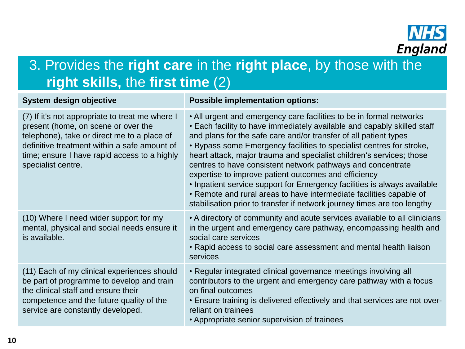

### 3. Provides the **right care** in the **right place**, by those with the **right skills,** the **first time** (2)

| System design objective                                                                                                                                                                                                                                     | <b>Possible implementation options:</b>                                                                                                                                                                                                                                                                                                                                                                                                                                                                                                                                                                                                                                                                                  |
|-------------------------------------------------------------------------------------------------------------------------------------------------------------------------------------------------------------------------------------------------------------|--------------------------------------------------------------------------------------------------------------------------------------------------------------------------------------------------------------------------------------------------------------------------------------------------------------------------------------------------------------------------------------------------------------------------------------------------------------------------------------------------------------------------------------------------------------------------------------------------------------------------------------------------------------------------------------------------------------------------|
| (7) If it's not appropriate to treat me where I<br>present (home, on scene or over the<br>telephone), take or direct me to a place of<br>definitive treatment within a safe amount of<br>time; ensure I have rapid access to a highly<br>specialist centre. | • All urgent and emergency care facilities to be in formal networks<br>• Each facility to have immediately available and capably skilled staff<br>and plans for the safe care and/or transfer of all patient types<br>• Bypass some Emergency facilities to specialist centres for stroke,<br>heart attack, major trauma and specialist children's services; those<br>centres to have consistent network pathways and concentrate<br>expertise to improve patient outcomes and efficiency<br>• Inpatient service support for Emergency facilities is always available<br>• Remote and rural areas to have intermediate facilities capable of<br>stabilisation prior to transfer if network journey times are too lengthy |
| (10) Where I need wider support for my<br>mental, physical and social needs ensure it<br>is available.                                                                                                                                                      | • A directory of community and acute services available to all clinicians<br>in the urgent and emergency care pathway, encompassing health and<br>social care services<br>• Rapid access to social care assessment and mental health liaison<br>services                                                                                                                                                                                                                                                                                                                                                                                                                                                                 |
| (11) Each of my clinical experiences should<br>be part of programme to develop and train<br>the clinical staff and ensure their<br>competence and the future quality of the<br>service are constantly developed.                                            | • Regular integrated clinical governance meetings involving all<br>contributors to the urgent and emergency care pathway with a focus<br>on final outcomes<br>• Ensure training is delivered effectively and that services are not over-<br>reliant on trainees<br>• Appropriate senior supervision of trainees                                                                                                                                                                                                                                                                                                                                                                                                          |